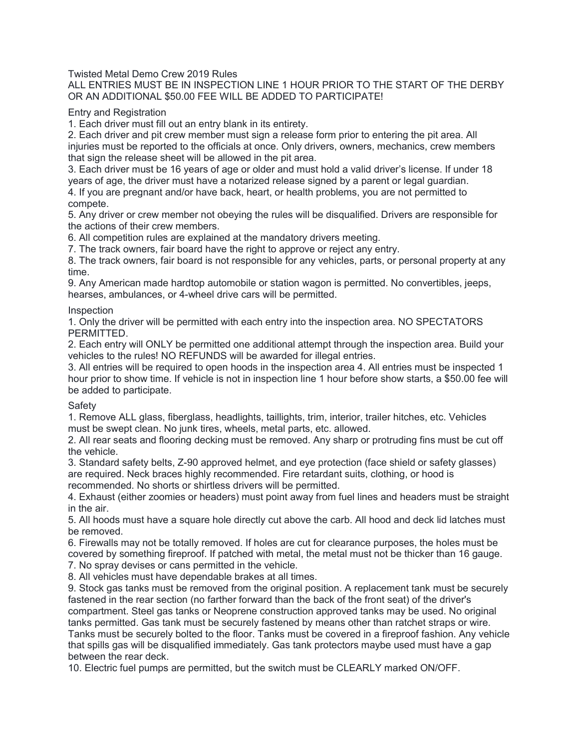Twisted Metal Demo Crew 2019 Rules

### ALL ENTRIES MUST BE IN INSPECTION LINE 1 HOUR PRIOR TO THE START OF THE DERBY OR AN ADDITIONAL \$50.00 FEE WILL BE ADDED TO PARTICIPATE!

Entry and Registration

1. Each driver must fill out an entry blank in its entirety.

2. Each driver and pit crew member must sign a release form prior to entering the pit area. All injuries must be reported to the officials at once. Only drivers, owners, mechanics, crew members that sign the release sheet will be allowed in the pit area.

3. Each driver must be 16 years of age or older and must hold a valid driver's license. If under 18 years of age, the driver must have a notarized release signed by a parent or legal guardian.

4. If you are pregnant and/or have back, heart, or health problems, you are not permitted to compete.

5. Any driver or crew member not obeying the rules will be disqualified. Drivers are responsible for the actions of their crew members.

6. All competition rules are explained at the mandatory drivers meeting.

7. The track owners, fair board have the right to approve or reject any entry.

8. The track owners, fair board is not responsible for any vehicles, parts, or personal property at any time.

9. Any American made hardtop automobile or station wagon is permitted. No convertibles, jeeps, hearses, ambulances, or 4-wheel drive cars will be permitted.

#### **Inspection**

1. Only the driver will be permitted with each entry into the inspection area. NO SPECTATORS PERMITTED.

2. Each entry will ONLY be permitted one additional attempt through the inspection area. Build your vehicles to the rules! NO REFUNDS will be awarded for illegal entries.

3. All entries will be required to open hoods in the inspection area 4. All entries must be inspected 1 hour prior to show time. If vehicle is not in inspection line 1 hour before show starts, a \$50.00 fee will be added to participate.

#### **Safety**

1. Remove ALL glass, fiberglass, headlights, taillights, trim, interior, trailer hitches, etc. Vehicles must be swept clean. No junk tires, wheels, metal parts, etc. allowed.

2. All rear seats and flooring decking must be removed. Any sharp or protruding fins must be cut off the vehicle.

3. Standard safety belts, Z-90 approved helmet, and eye protection (face shield or safety glasses) are required. Neck braces highly recommended. Fire retardant suits, clothing, or hood is recommended. No shorts or shirtless drivers will be permitted.

4. Exhaust (either zoomies or headers) must point away from fuel lines and headers must be straight in the air.

5. All hoods must have a square hole directly cut above the carb. All hood and deck lid latches must be removed.

6. Firewalls may not be totally removed. If holes are cut for clearance purposes, the holes must be covered by something fireproof. If patched with metal, the metal must not be thicker than 16 gauge.

7. No spray devises or cans permitted in the vehicle.

8. All vehicles must have dependable brakes at all times.

9. Stock gas tanks must be removed from the original position. A replacement tank must be securely fastened in the rear section (no farther forward than the back of the front seat) of the driver's compartment. Steel gas tanks or Neoprene construction approved tanks may be used. No original tanks permitted. Gas tank must be securely fastened by means other than ratchet straps or wire. Tanks must be securely bolted to the floor. Tanks must be covered in a fireproof fashion. Any vehicle that spills gas will be disqualified immediately. Gas tank protectors maybe used must have a gap between the rear deck.

10. Electric fuel pumps are permitted, but the switch must be CLEARLY marked ON/OFF.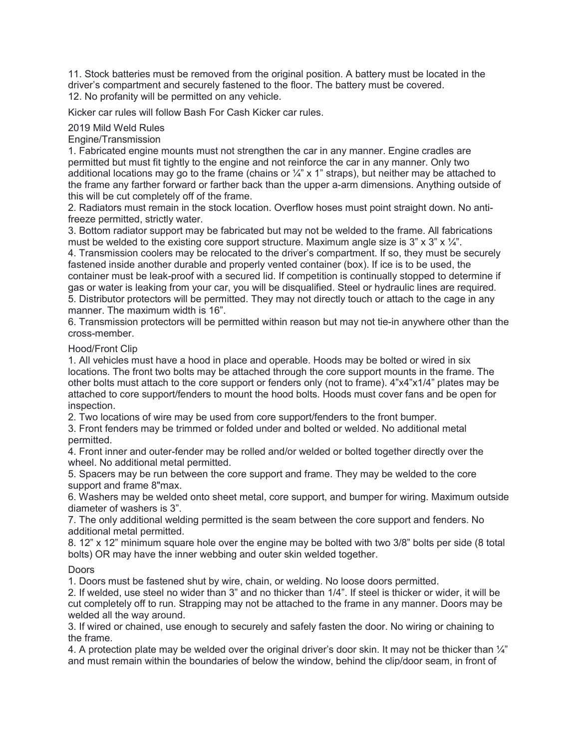11. Stock batteries must be removed from the original position. A battery must be located in the driver's compartment and securely fastened to the floor. The battery must be covered. 12. No profanity will be permitted on any vehicle.

Kicker car rules will follow Bash For Cash Kicker car rules.

2019 Mild Weld Rules

Engine/Transmission

1. Fabricated engine mounts must not strengthen the car in any manner. Engine cradles are permitted but must fit tightly to the engine and not reinforce the car in any manner. Only two additional locations may go to the frame (chains or  $\frac{1}{4}$ " x 1" straps), but neither may be attached to the frame any farther forward or farther back than the upper a-arm dimensions. Anything outside of this will be cut completely off of the frame.

2. Radiators must remain in the stock location. Overflow hoses must point straight down. No antifreeze permitted, strictly water.

3. Bottom radiator support may be fabricated but may not be welded to the frame. All fabrications must be welded to the existing core support structure. Maximum angle size is 3" x 3" x  $\frac{1}{4}$ ".

4. Transmission coolers may be relocated to the driver's compartment. If so, they must be securely fastened inside another durable and properly vented container (box). If ice is to be used, the container must be leak-proof with a secured lid. If competition is continually stopped to determine if gas or water is leaking from your car, you will be disqualified. Steel or hydraulic lines are required. 5. Distributor protectors will be permitted. They may not directly touch or attach to the cage in any manner. The maximum width is 16".

6. Transmission protectors will be permitted within reason but may not tie-in anywhere other than the cross-member.

### Hood/Front Clip

1. All vehicles must have a hood in place and operable. Hoods may be bolted or wired in six locations. The front two bolts may be attached through the core support mounts in the frame. The other bolts must attach to the core support or fenders only (not to frame). 4"x4"x1/4" plates may be attached to core support/fenders to mount the hood bolts. Hoods must cover fans and be open for inspection.

2. Two locations of wire may be used from core support/fenders to the front bumper.

3. Front fenders may be trimmed or folded under and bolted or welded. No additional metal permitted.

4. Front inner and outer-fender may be rolled and/or welded or bolted together directly over the wheel. No additional metal permitted.

5. Spacers may be run between the core support and frame. They may be welded to the core support and frame 8"max.

6. Washers may be welded onto sheet metal, core support, and bumper for wiring. Maximum outside diameter of washers is 3".

7. The only additional welding permitted is the seam between the core support and fenders. No additional metal permitted.

8. 12" x 12" minimum square hole over the engine may be bolted with two 3/8" bolts per side (8 total bolts) OR may have the inner webbing and outer skin welded together.

### Doors

1. Doors must be fastened shut by wire, chain, or welding. No loose doors permitted.

2. If welded, use steel no wider than 3" and no thicker than 1/4". If steel is thicker or wider, it will be cut completely off to run. Strapping may not be attached to the frame in any manner. Doors may be welded all the way around.

3. If wired or chained, use enough to securely and safely fasten the door. No wiring or chaining to the frame.

4. A protection plate may be welded over the original driver's door skin. It may not be thicker than 1/4" and must remain within the boundaries of below the window, behind the clip/door seam, in front of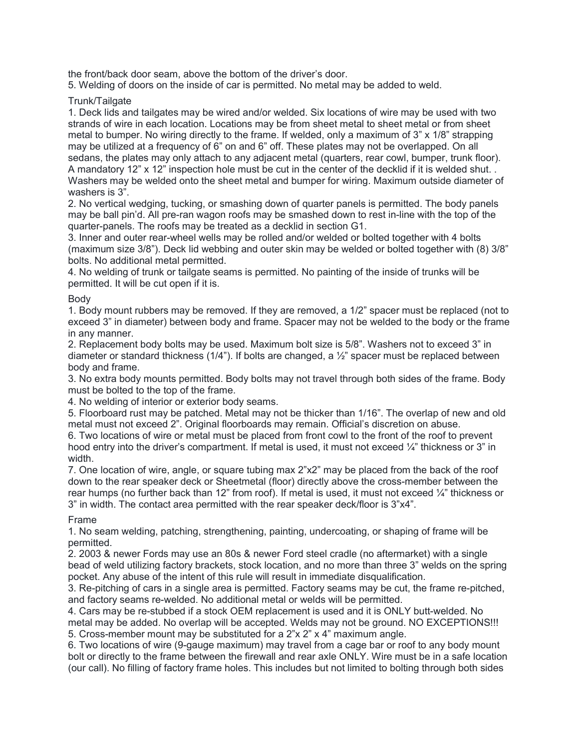the front/back door seam, above the bottom of the driver's door.

5. Welding of doors on the inside of car is permitted. No metal may be added to weld.

Trunk/Tailgate

1. Deck lids and tailgates may be wired and/or welded. Six locations of wire may be used with two strands of wire in each location. Locations may be from sheet metal to sheet metal or from sheet metal to bumper. No wiring directly to the frame. If welded, only a maximum of 3" x 1/8" strapping may be utilized at a frequency of 6" on and 6" off. These plates may not be overlapped. On all sedans, the plates may only attach to any adjacent metal (quarters, rear cowl, bumper, trunk floor). A mandatory 12" x 12" inspection hole must be cut in the center of the decklid if it is welded shut. . Washers may be welded onto the sheet metal and bumper for wiring. Maximum outside diameter of washers is 3".

2. No vertical wedging, tucking, or smashing down of quarter panels is permitted. The body panels may be ball pin'd. All pre-ran wagon roofs may be smashed down to rest in-line with the top of the quarter-panels. The roofs may be treated as a decklid in section G1.

3. Inner and outer rear-wheel wells may be rolled and/or welded or bolted together with 4 bolts (maximum size 3/8"). Deck lid webbing and outer skin may be welded or bolted together with (8) 3/8" bolts. No additional metal permitted.

4. No welding of trunk or tailgate seams is permitted. No painting of the inside of trunks will be permitted. It will be cut open if it is.

## Body

1. Body mount rubbers may be removed. If they are removed, a 1/2" spacer must be replaced (not to exceed 3" in diameter) between body and frame. Spacer may not be welded to the body or the frame in any manner.

2. Replacement body bolts may be used. Maximum bolt size is 5/8". Washers not to exceed 3" in diameter or standard thickness (1/4"). If bolts are changed, a  $\frac{1}{2}$ " spacer must be replaced between body and frame.

3. No extra body mounts permitted. Body bolts may not travel through both sides of the frame. Body must be bolted to the top of the frame.

4. No welding of interior or exterior body seams.

5. Floorboard rust may be patched. Metal may not be thicker than 1/16". The overlap of new and old metal must not exceed 2". Original floorboards may remain. Official's discretion on abuse.

6. Two locations of wire or metal must be placed from front cowl to the front of the roof to prevent hood entry into the driver's compartment. If metal is used, it must not exceed  $\frac{1}{4}$ " thickness or 3" in width.

7. One location of wire, angle, or square tubing max 2"x2" may be placed from the back of the roof down to the rear speaker deck or Sheetmetal (floor) directly above the cross-member between the rear humps (no further back than 12" from roof). If metal is used, it must not exceed ¼" thickness or 3" in width. The contact area permitted with the rear speaker deck/floor is 3"x4".

# Frame

1. No seam welding, patching, strengthening, painting, undercoating, or shaping of frame will be permitted.

2. 2003 & newer Fords may use an 80s & newer Ford steel cradle (no aftermarket) with a single bead of weld utilizing factory brackets, stock location, and no more than three 3" welds on the spring pocket. Any abuse of the intent of this rule will result in immediate disqualification.

3. Re-pitching of cars in a single area is permitted. Factory seams may be cut, the frame re-pitched, and factory seams re-welded. No additional metal or welds will be permitted.

4. Cars may be re-stubbed if a stock OEM replacement is used and it is ONLY butt-welded. No metal may be added. No overlap will be accepted. Welds may not be ground. NO EXCEPTIONS!!! 5. Cross-member mount may be substituted for a 2"x 2" x 4" maximum angle.

6. Two locations of wire (9-gauge maximum) may travel from a cage bar or roof to any body mount bolt or directly to the frame between the firewall and rear axle ONLY. Wire must be in a safe location (our call). No filling of factory frame holes. This includes but not limited to bolting through both sides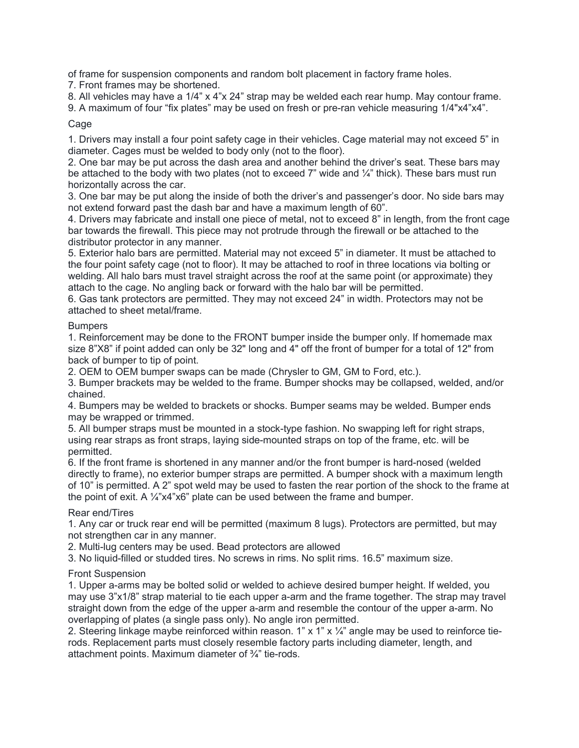of frame for suspension components and random bolt placement in factory frame holes.

7. Front frames may be shortened.

8. All vehicles may have a 1/4" x 4"x 24" strap may be welded each rear hump. May contour frame.

9. A maximum of four "fix plates" may be used on fresh or pre-ran vehicle measuring  $1/4$ "x4"x4".

## Cage

1. Drivers may install a four point safety cage in their vehicles. Cage material may not exceed 5" in diameter. Cages must be welded to body only (not to the floor).

2. One bar may be put across the dash area and another behind the driver's seat. These bars may be attached to the body with two plates (not to exceed 7" wide and  $\frac{1}{4}$ " thick). These bars must run horizontally across the car.

3. One bar may be put along the inside of both the driver's and passenger's door. No side bars may not extend forward past the dash bar and have a maximum length of 60".

4. Drivers may fabricate and install one piece of metal, not to exceed 8" in length, from the front cage bar towards the firewall. This piece may not protrude through the firewall or be attached to the distributor protector in any manner.

5. Exterior halo bars are permitted. Material may not exceed 5" in diameter. It must be attached to the four point safety cage (not to floor). It may be attached to roof in three locations via bolting or welding. All halo bars must travel straight across the roof at the same point (or approximate) they attach to the cage. No angling back or forward with the halo bar will be permitted.

6. Gas tank protectors are permitted. They may not exceed 24" in width. Protectors may not be attached to sheet metal/frame.

## **Bumpers**

1. Reinforcement may be done to the FRONT bumper inside the bumper only. If homemade max size 8"X8" if point added can only be 32" long and 4" off the front of bumper for a total of 12" from back of bumper to tip of point.

2. OEM to OEM bumper swaps can be made (Chrysler to GM, GM to Ford, etc.).

3. Bumper brackets may be welded to the frame. Bumper shocks may be collapsed, welded, and/or chained.

4. Bumpers may be welded to brackets or shocks. Bumper seams may be welded. Bumper ends may be wrapped or trimmed.

5. All bumper straps must be mounted in a stock-type fashion. No swapping left for right straps, using rear straps as front straps, laying side-mounted straps on top of the frame, etc. will be permitted.

6. If the front frame is shortened in any manner and/or the front bumper is hard-nosed (welded directly to frame), no exterior bumper straps are permitted. A bumper shock with a maximum length of 10" is permitted. A 2" spot weld may be used to fasten the rear portion of the shock to the frame at the point of exit. A ¼"x4"x6" plate can be used between the frame and bumper.

### Rear end/Tires

1. Any car or truck rear end will be permitted (maximum 8 lugs). Protectors are permitted, but may not strengthen car in any manner.

2. Multi-lug centers may be used. Bead protectors are allowed

3. No liquid-filled or studded tires. No screws in rims. No split rims. 16.5" maximum size.

# Front Suspension

1. Upper a-arms may be bolted solid or welded to achieve desired bumper height. If welded, you may use 3"x1/8" strap material to tie each upper a-arm and the frame together. The strap may travel straight down from the edge of the upper a-arm and resemble the contour of the upper a-arm. No overlapping of plates (a single pass only). No angle iron permitted.

2. Steering linkage maybe reinforced within reason. 1" x 1" x  $\frac{1}{4}$ " angle may be used to reinforce tierods. Replacement parts must closely resemble factory parts including diameter, length, and attachment points. Maximum diameter of ¾" tie-rods.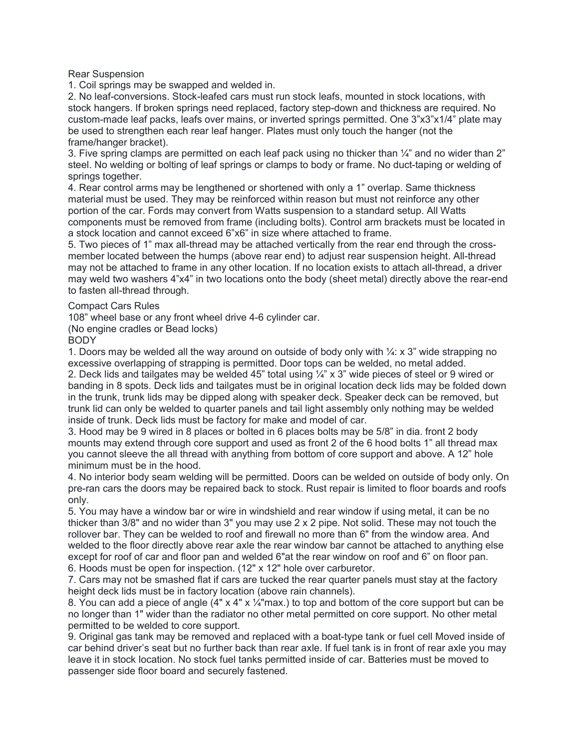Rear Suspension

1. Coil springs may be swapped and welded in.

2. No leaf-conversions. Stock-leafed cars must run stock leafs, mounted in stock locations, with stock hangers. If broken springs need replaced, factory step-down and thickness are required. No custom-made leaf packs, leafs over mains, or inverted springs permitted. One 3"x3"x1/4" plate may be used to strengthen each rear leaf hanger. Plates must only touch the hanger (not the frame/hanger bracket).

3. Five spring clamps are permitted on each leaf pack using no thicker than  $\frac{1}{4}$ " and no wider than 2" steel. No welding or bolting of leaf springs or clamps to body or frame. No duct-taping or welding of springs together.

4. Rear control arms may be lengthened or shortened with only a 1" overlap. Same thickness material must be used. They may be reinforced within reason but must not reinforce any other portion of the car. Fords may convert from Watts suspension to a standard setup. All Watts components must be removed from frame (including bolts). Control arm brackets must be located in a stock location and cannot exceed 6"x6" in size where attached to frame.

5. Two pieces of 1" max all-thread may be attached vertically from the rear end through the crossmember located between the humps (above rear end) to adjust rear suspension height. All-thread may not be attached to frame in any other location. If no location exists to attach all-thread, a driver may weld two washers 4"x4" in two locations onto the body (sheet metal) directly above the rear-end to fasten all-thread through.

Compact Cars Rules

108" wheel base or any front wheel drive 4-6 cylinder car.

(No engine cradles or Bead locks)

**BODY** 

1. Doors may be welded all the way around on outside of body only with  $\frac{1}{4}$ : x 3" wide strapping no excessive overlapping of strapping is permitted. Door tops can be welded, no metal added. 2. Deck lids and tailgates may be welded 45" total using ¼" x 3" wide pieces of steel or 9 wired or banding in 8 spots. Deck lids and tailgates must be in original location deck lids may be folded down in the trunk, trunk lids may be dipped along with speaker deck. Speaker deck can be removed, but trunk lid can only be welded to quarter panels and tail light assembly only nothing may be welded inside of trunk. Deck lids must be factory for make and model of car.

3. Hood may be 9 wired in 8 places or bolted in 6 places bolts may be 5/8" in dia. front 2 body mounts may extend through core support and used as front 2 of the 6 hood bolts 1" all thread max you cannot sleeve the all thread with anything from bottom of core support and above. A 12" hole minimum must be in the hood.

4. No interior body seam welding will be permitted. Doors can be welded on outside of body only. On pre-ran cars the doors may be repaired back to stock. Rust repair is limited to floor boards and roofs only.

5. You may have a window bar or wire in windshield and rear window if using metal, it can be no thicker than 3/8" and no wider than 3" you may use 2 x 2 pipe. Not solid. These may not touch the rollover bar. They can be welded to roof and firewall no more than 6" from the window area. And welded to the floor directly above rear axle the rear window bar cannot be attached to anything else except for roof of car and floor pan and welded 6"at the rear window on roof and 6" on floor pan. 6. Hoods must be open for inspection. (12" x 12" hole over carburetor.

7. Cars may not be smashed flat if cars are tucked the rear quarter panels must stay at the factory height deck lids must be in factory location (above rain channels).

8. You can add a piece of angle  $(4" \times 4" \times 7/4"$ max.) to top and bottom of the core support but can be no longer than 1" wider than the radiator no other metal permitted on core support. No other metal permitted to be welded to core support.

9. Original gas tank may be removed and replaced with a boat-type tank or fuel cell Moved inside of car behind driver's seat but no further back than rear axle. If fuel tank is in front of rear axle you may leave it in stock location. No stock fuel tanks permitted inside of car. Batteries must be moved to passenger side floor board and securely fastened.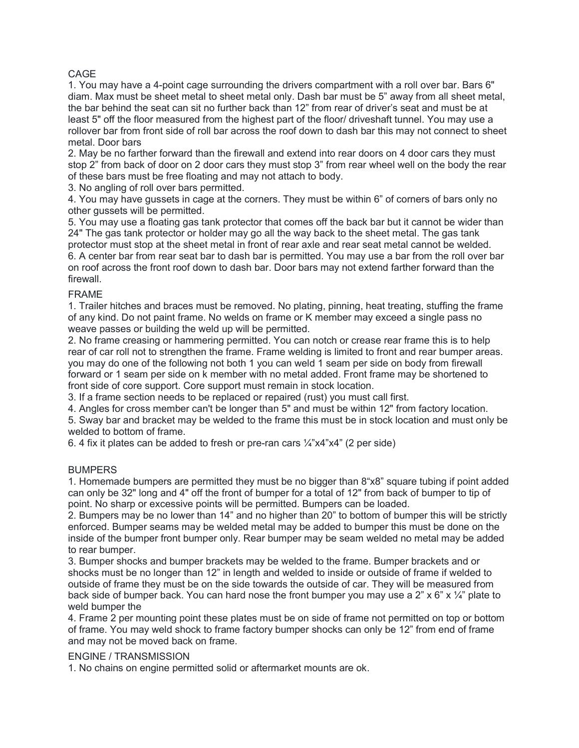## CAGE

1. You may have a 4-point cage surrounding the drivers compartment with a roll over bar. Bars 6" diam. Max must be sheet metal to sheet metal only. Dash bar must be 5" away from all sheet metal, the bar behind the seat can sit no further back than 12" from rear of driver's seat and must be at least 5" off the floor measured from the highest part of the floor/ driveshaft tunnel. You may use a rollover bar from front side of roll bar across the roof down to dash bar this may not connect to sheet metal. Door bars

2. May be no farther forward than the firewall and extend into rear doors on 4 door cars they must stop 2" from back of door on 2 door cars they must stop 3" from rear wheel well on the body the rear of these bars must be free floating and may not attach to body.

3. No angling of roll over bars permitted.

4. You may have gussets in cage at the corners. They must be within 6" of corners of bars only no other gussets will be permitted.

5. You may use a floating gas tank protector that comes off the back bar but it cannot be wider than 24" The gas tank protector or holder may go all the way back to the sheet metal. The gas tank protector must stop at the sheet metal in front of rear axle and rear seat metal cannot be welded. 6. A center bar from rear seat bar to dash bar is permitted. You may use a bar from the roll over bar on roof across the front roof down to dash bar. Door bars may not extend farther forward than the firewall.

## FRAME

1. Trailer hitches and braces must be removed. No plating, pinning, heat treating, stuffing the frame of any kind. Do not paint frame. No welds on frame or K member may exceed a single pass no weave passes or building the weld up will be permitted.

2. No frame creasing or hammering permitted. You can notch or crease rear frame this is to help rear of car roll not to strengthen the frame. Frame welding is limited to front and rear bumper areas. you may do one of the following not both 1 you can weld 1 seam per side on body from firewall forward or 1 seam per side on k member with no metal added. Front frame may be shortened to front side of core support. Core support must remain in stock location.

3. If a frame section needs to be replaced or repaired (rust) you must call first.

4. Angles for cross member can't be longer than 5" and must be within 12" from factory location.

5. Sway bar and bracket may be welded to the frame this must be in stock location and must only be welded to bottom of frame.

6. 4 fix it plates can be added to fresh or pre-ran cars  $\frac{1}{4}$ "x4"x4" (2 per side)

# **BUMPERS**

1. Homemade bumpers are permitted they must be no bigger than 8"x8" square tubing if point added can only be 32" long and 4" off the front of bumper for a total of 12" from back of bumper to tip of point. No sharp or excessive points will be permitted. Bumpers can be loaded.

2. Bumpers may be no lower than 14" and no higher than 20" to bottom of bumper this will be strictly enforced. Bumper seams may be welded metal may be added to bumper this must be done on the inside of the bumper front bumper only. Rear bumper may be seam welded no metal may be added to rear bumper.

3. Bumper shocks and bumper brackets may be welded to the frame. Bumper brackets and or shocks must be no longer than 12" in length and welded to inside or outside of frame if welded to outside of frame they must be on the side towards the outside of car. They will be measured from back side of bumper back. You can hard nose the front bumper you may use a  $2" \times 6" \times \frac{1}{4"}$  plate to weld bumper the

4. Frame 2 per mounting point these plates must be on side of frame not permitted on top or bottom of frame. You may weld shock to frame factory bumper shocks can only be 12" from end of frame and may not be moved back on frame.

# ENGINE / TRANSMISSION

1. No chains on engine permitted solid or aftermarket mounts are ok.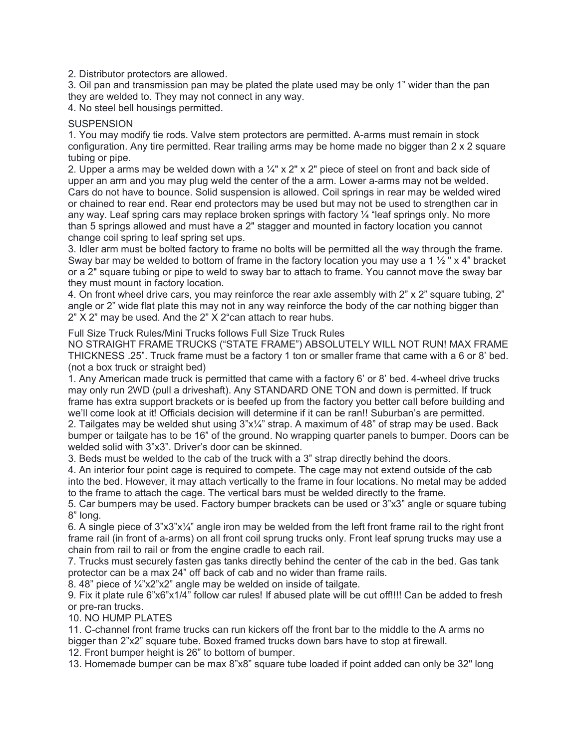2. Distributor protectors are allowed.

3. Oil pan and transmission pan may be plated the plate used may be only 1" wider than the pan they are welded to. They may not connect in any way.

4. No steel bell housings permitted.

### **SUSPENSION**

1. You may modify tie rods. Valve stem protectors are permitted. A-arms must remain in stock configuration. Any tire permitted. Rear trailing arms may be home made no bigger than 2 x 2 square tubing or pipe.

2. Upper a arms may be welded down with a  $\frac{1}{4}$ " x 2" x 2" piece of steel on front and back side of upper an arm and you may plug weld the center of the a arm. Lower a-arms may not be welded. Cars do not have to bounce. Solid suspension is allowed. Coil springs in rear may be welded wired or chained to rear end. Rear end protectors may be used but may not be used to strengthen car in any way. Leaf spring cars may replace broken springs with factory  $\frac{1}{4}$  "leaf springs only. No more than 5 springs allowed and must have a 2" stagger and mounted in factory location you cannot change coil spring to leaf spring set ups.

3. Idler arm must be bolted factory to frame no bolts will be permitted all the way through the frame. Sway bar may be welded to bottom of frame in the factory location you may use a 1  $\frac{1}{2}$ " x 4" bracket or a 2" square tubing or pipe to weld to sway bar to attach to frame. You cannot move the sway bar they must mount in factory location.

4. On front wheel drive cars, you may reinforce the rear axle assembly with 2" x 2" square tubing, 2" angle or 2" wide flat plate this may not in any way reinforce the body of the car nothing bigger than 2" X 2" may be used. And the 2" X 2"can attach to rear hubs.

Full Size Truck Rules/Mini Trucks follows Full Size Truck Rules

NO STRAIGHT FRAME TRUCKS ("STATE FRAME") ABSOLUTELY WILL NOT RUN! MAX FRAME THICKNESS .25". Truck frame must be a factory 1 ton or smaller frame that came with a 6 or 8' bed. (not a box truck or straight bed)

1. Any American made truck is permitted that came with a factory 6' or 8' bed. 4-wheel drive trucks may only run 2WD (pull a driveshaft). Any STANDARD ONE TON and down is permitted. If truck frame has extra support brackets or is beefed up from the factory you better call before building and we'll come look at it! Officials decision will determine if it can be ran!! Suburban's are permitted.

2. Tailgates may be welded shut using 3"x¼" strap. A maximum of 48" of strap may be used. Back bumper or tailgate has to be 16" of the ground. No wrapping quarter panels to bumper. Doors can be welded solid with 3"x3". Driver's door can be skinned.

3. Beds must be welded to the cab of the truck with a 3" strap directly behind the doors.

4. An interior four point cage is required to compete. The cage may not extend outside of the cab into the bed. However, it may attach vertically to the frame in four locations. No metal may be added to the frame to attach the cage. The vertical bars must be welded directly to the frame.

5. Car bumpers may be used. Factory bumper brackets can be used or 3"x3" angle or square tubing 8" long.

6. A single piece of 3"x3"x¼" angle iron may be welded from the left front frame rail to the right front frame rail (in front of a-arms) on all front coil sprung trucks only. Front leaf sprung trucks may use a chain from rail to rail or from the engine cradle to each rail.

7. Trucks must securely fasten gas tanks directly behind the center of the cab in the bed. Gas tank protector can be a max 24" off back of cab and no wider than frame rails.

8. 48" piece of ¼"x2"x2" angle may be welded on inside of tailgate.

9. Fix it plate rule 6"x6"x1/4" follow car rules! If abused plate will be cut off!!!! Can be added to fresh or pre-ran trucks.

10. NO HUMP PLATES

11. C-channel front frame trucks can run kickers off the front bar to the middle to the A arms no bigger than 2"x2" square tube. Boxed framed trucks down bars have to stop at firewall.

12. Front bumper height is 26" to bottom of bumper.

13. Homemade bumper can be max 8"x8" square tube loaded if point added can only be 32" long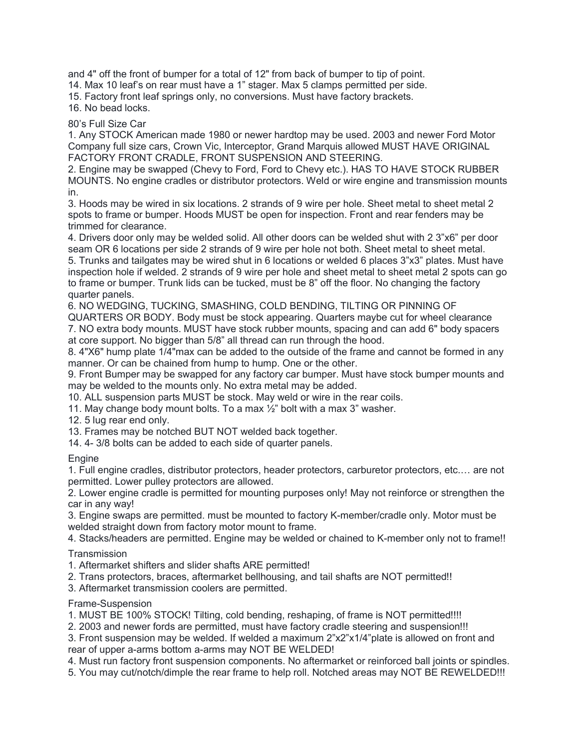and 4" off the front of bumper for a total of 12" from back of bumper to tip of point.

14. Max 10 leaf's on rear must have a 1" stager. Max 5 clamps permitted per side.

15. Factory front leaf springs only, no conversions. Must have factory brackets.

16. No bead locks.

# 80's Full Size Car

1. Any STOCK American made 1980 or newer hardtop may be used. 2003 and newer Ford Motor Company full size cars, Crown Vic, Interceptor, Grand Marquis allowed MUST HAVE ORIGINAL FACTORY FRONT CRADLE, FRONT SUSPENSION AND STEERING.

2. Engine may be swapped (Chevy to Ford, Ford to Chevy etc.). HAS TO HAVE STOCK RUBBER MOUNTS. No engine cradles or distributor protectors. Weld or wire engine and transmission mounts in.

3. Hoods may be wired in six locations. 2 strands of 9 wire per hole. Sheet metal to sheet metal 2 spots to frame or bumper. Hoods MUST be open for inspection. Front and rear fenders may be trimmed for clearance.

4. Drivers door only may be welded solid. All other doors can be welded shut with 2 3"x6" per door seam OR 6 locations per side 2 strands of 9 wire per hole not both. Sheet metal to sheet metal.

5. Trunks and tailgates may be wired shut in 6 locations or welded 6 places 3"x3" plates. Must have inspection hole if welded. 2 strands of 9 wire per hole and sheet metal to sheet metal 2 spots can go to frame or bumper. Trunk lids can be tucked, must be 8" off the floor. No changing the factory quarter panels.

6. NO WEDGING, TUCKING, SMASHING, COLD BENDING, TILTING OR PINNING OF

QUARTERS OR BODY. Body must be stock appearing. Quarters maybe cut for wheel clearance 7. NO extra body mounts. MUST have stock rubber mounts, spacing and can add 6" body spacers at core support. No bigger than 5/8" all thread can run through the hood.

8. 4"X6" hump plate 1/4"max can be added to the outside of the frame and cannot be formed in any manner. Or can be chained from hump to hump. One or the other.

9. Front Bumper may be swapped for any factory car bumper. Must have stock bumper mounts and may be welded to the mounts only. No extra metal may be added.

10. ALL suspension parts MUST be stock. May weld or wire in the rear coils.

11. May change body mount bolts. To a max ½" bolt with a max 3" washer.

12. 5 lug rear end only.

13. Frames may be notched BUT NOT welded back together.

14. 4- 3/8 bolts can be added to each side of quarter panels.

# **Engine**

1. Full engine cradles, distributor protectors, header protectors, carburetor protectors, etc.… are not permitted. Lower pulley protectors are allowed.

2. Lower engine cradle is permitted for mounting purposes only! May not reinforce or strengthen the car in any way!

3. Engine swaps are permitted. must be mounted to factory K-member/cradle only. Motor must be welded straight down from factory motor mount to frame.

4. Stacks/headers are permitted. Engine may be welded or chained to K-member only not to frame!! **Transmission** 

1. Aftermarket shifters and slider shafts ARE permitted!

2. Trans protectors, braces, aftermarket bellhousing, and tail shafts are NOT permitted!!

3. Aftermarket transmission coolers are permitted.

### Frame-Suspension

1. MUST BE 100% STOCK! Tilting, cold bending, reshaping, of frame is NOT permitted!!!!

2. 2003 and newer fords are permitted, must have factory cradle steering and suspension!!!

3. Front suspension may be welded. If welded a maximum 2"x2"x1/4"plate is allowed on front and rear of upper a-arms bottom a-arms may NOT BE WELDED!

4. Must run factory front suspension components. No aftermarket or reinforced ball joints or spindles.

5. You may cut/notch/dimple the rear frame to help roll. Notched areas may NOT BE REWELDED!!!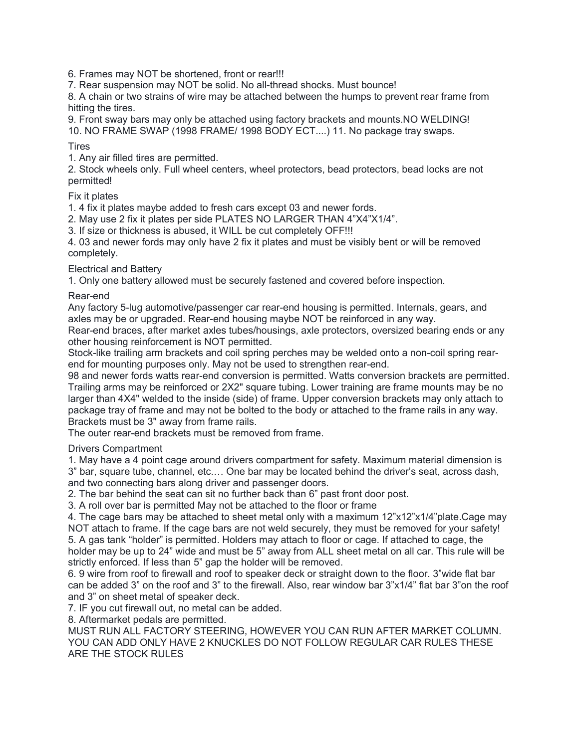6. Frames may NOT be shortened, front or rear!!!

7. Rear suspension may NOT be solid. No all-thread shocks. Must bounce!

8. A chain or two strains of wire may be attached between the humps to prevent rear frame from hitting the tires.

9. Front sway bars may only be attached using factory brackets and mounts.NO WELDING! 10. NO FRAME SWAP (1998 FRAME/ 1998 BODY ECT....) 11. No package tray swaps.

### **Tires**

1. Any air filled tires are permitted.

2. Stock wheels only. Full wheel centers, wheel protectors, bead protectors, bead locks are not permitted!

### Fix it plates

1. 4 fix it plates maybe added to fresh cars except 03 and newer fords.

2. May use 2 fix it plates per side PLATES NO LARGER THAN 4"X4"X1/4".

3. If size or thickness is abused, it WILL be cut completely OFF!!!

4. 03 and newer fords may only have 2 fix it plates and must be visibly bent or will be removed completely.

## Electrical and Battery

1. Only one battery allowed must be securely fastened and covered before inspection.

## Rear-end

Any factory 5-lug automotive/passenger car rear-end housing is permitted. Internals, gears, and axles may be or upgraded. Rear-end housing maybe NOT be reinforced in any way.

Rear-end braces, after market axles tubes/housings, axle protectors, oversized bearing ends or any other housing reinforcement is NOT permitted.

Stock-like trailing arm brackets and coil spring perches may be welded onto a non-coil spring rearend for mounting purposes only. May not be used to strengthen rear-end.

98 and newer fords watts rear-end conversion is permitted. Watts conversion brackets are permitted. Trailing arms may be reinforced or 2X2" square tubing. Lower training are frame mounts may be no larger than 4X4" welded to the inside (side) of frame. Upper conversion brackets may only attach to package tray of frame and may not be bolted to the body or attached to the frame rails in any way. Brackets must be 3" away from frame rails.

The outer rear-end brackets must be removed from frame.

### Drivers Compartment

1. May have a 4 point cage around drivers compartment for safety. Maximum material dimension is 3" bar, square tube, channel, etc.… One bar may be located behind the driver's seat, across dash, and two connecting bars along driver and passenger doors.

2. The bar behind the seat can sit no further back than 6" past front door post.

3. A roll over bar is permitted May not be attached to the floor or frame

4. The cage bars may be attached to sheet metal only with a maximum 12"x12"x1/4"plate.Cage may NOT attach to frame. If the cage bars are not weld securely, they must be removed for your safety! 5. A gas tank "holder" is permitted. Holders may attach to floor or cage. If attached to cage, the holder may be up to 24" wide and must be 5" away from ALL sheet metal on all car. This rule will be strictly enforced. If less than 5" gap the holder will be removed.

6. 9 wire from roof to firewall and roof to speaker deck or straight down to the floor. 3"wide flat bar can be added 3" on the roof and 3" to the firewall. Also, rear window bar 3"x1/4" flat bar 3"on the roof and 3" on sheet metal of speaker deck.

7. IF you cut firewall out, no metal can be added.

8. Aftermarket pedals are permitted.

MUST RUN ALL FACTORY STEERING, HOWEVER YOU CAN RUN AFTER MARKET COLUMN. YOU CAN ADD ONLY HAVE 2 KNUCKLES DO NOT FOLLOW REGULAR CAR RULES THESE ARE THE STOCK RULES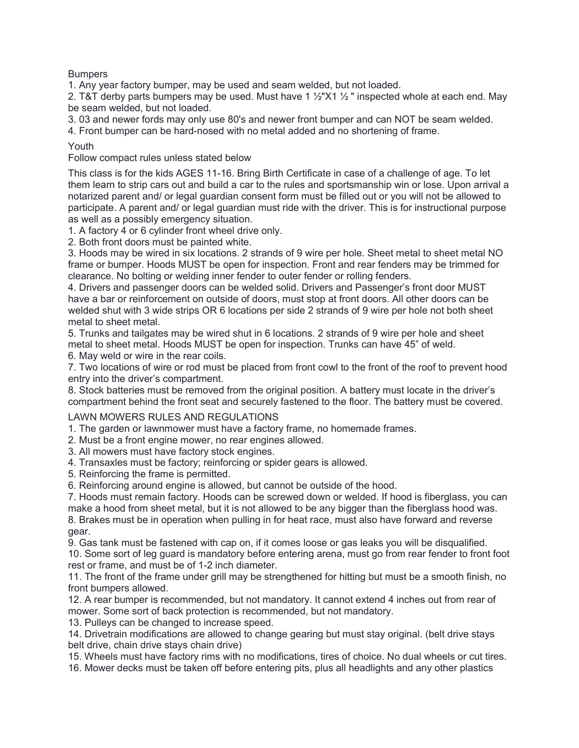Bumpers

1. Any year factory bumper, may be used and seam welded, but not loaded.

2. T&T derby parts bumpers may be used. Must have 1  $\frac{1}{2}$  X1  $\frac{1}{2}$  " inspected whole at each end. May be seam welded, but not loaded.

3. 03 and newer fords may only use 80's and newer front bumper and can NOT be seam welded.

4. Front bumper can be hard-nosed with no metal added and no shortening of frame.

Youth

Follow compact rules unless stated below

This class is for the kids AGES 11-16. Bring Birth Certificate in case of a challenge of age. To let them learn to strip cars out and build a car to the rules and sportsmanship win or lose. Upon arrival a notarized parent and/ or legal guardian consent form must be filled out or you will not be allowed to participate. A parent and/ or legal guardian must ride with the driver. This is for instructional purpose as well as a possibly emergency situation.

1. A factory 4 or 6 cylinder front wheel drive only.

2. Both front doors must be painted white.

3. Hoods may be wired in six locations. 2 strands of 9 wire per hole. Sheet metal to sheet metal NO frame or bumper. Hoods MUST be open for inspection. Front and rear fenders may be trimmed for clearance. No bolting or welding inner fender to outer fender or rolling fenders.

4. Drivers and passenger doors can be welded solid. Drivers and Passenger's front door MUST have a bar or reinforcement on outside of doors, must stop at front doors. All other doors can be welded shut with 3 wide strips OR 6 locations per side 2 strands of 9 wire per hole not both sheet metal to sheet metal.

5. Trunks and tailgates may be wired shut in 6 locations. 2 strands of 9 wire per hole and sheet metal to sheet metal. Hoods MUST be open for inspection. Trunks can have 45" of weld. 6. May weld or wire in the rear coils.

7. Two locations of wire or rod must be placed from front cowl to the front of the roof to prevent hood entry into the driver's compartment.

8. Stock batteries must be removed from the original position. A battery must locate in the driver's compartment behind the front seat and securely fastened to the floor. The battery must be covered.

### LAWN MOWERS RULES AND REGULATIONS

1. The garden or lawnmower must have a factory frame, no homemade frames.

2. Must be a front engine mower, no rear engines allowed.

3. All mowers must have factory stock engines.

4. Transaxles must be factory; reinforcing or spider gears is allowed.

5. Reinforcing the frame is permitted.

6. Reinforcing around engine is allowed, but cannot be outside of the hood.

7. Hoods must remain factory. Hoods can be screwed down or welded. If hood is fiberglass, you can make a hood from sheet metal, but it is not allowed to be any bigger than the fiberglass hood was.

8. Brakes must be in operation when pulling in for heat race, must also have forward and reverse gear.

9. Gas tank must be fastened with cap on, if it comes loose or gas leaks you will be disqualified.

10. Some sort of leg guard is mandatory before entering arena, must go from rear fender to front foot rest or frame, and must be of 1-2 inch diameter.

11. The front of the frame under grill may be strengthened for hitting but must be a smooth finish, no front bumpers allowed.

12. A rear bumper is recommended, but not mandatory. It cannot extend 4 inches out from rear of mower. Some sort of back protection is recommended, but not mandatory.

13. Pulleys can be changed to increase speed.

14. Drivetrain modifications are allowed to change gearing but must stay original. (belt drive stays belt drive, chain drive stays chain drive)

15. Wheels must have factory rims with no modifications, tires of choice. No dual wheels or cut tires.

16. Mower decks must be taken off before entering pits, plus all headlights and any other plastics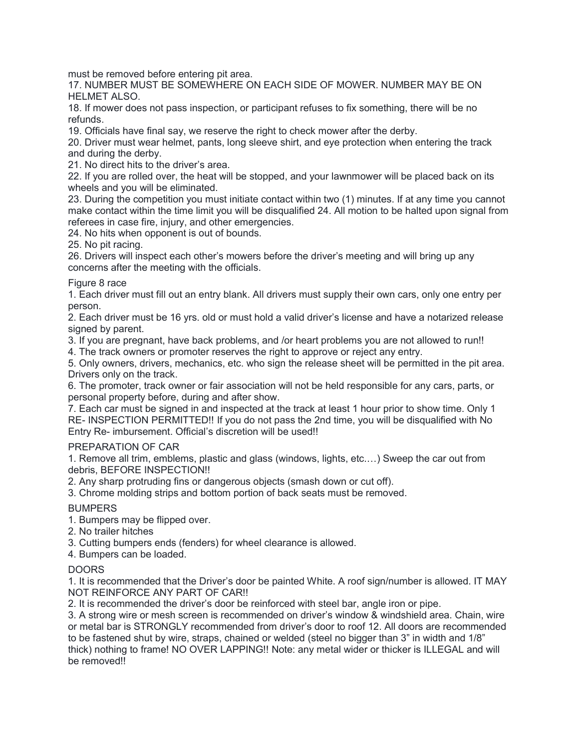must be removed before entering pit area.

17. NUMBER MUST BE SOMEWHERE ON EACH SIDE OF MOWER. NUMBER MAY BE ON HELMET ALSO.

18. If mower does not pass inspection, or participant refuses to fix something, there will be no refunds.

19. Officials have final say, we reserve the right to check mower after the derby.

20. Driver must wear helmet, pants, long sleeve shirt, and eye protection when entering the track and during the derby.

21. No direct hits to the driver's area.

22. If you are rolled over, the heat will be stopped, and your lawnmower will be placed back on its wheels and you will be eliminated.

23. During the competition you must initiate contact within two (1) minutes. If at any time you cannot make contact within the time limit you will be disqualified 24. All motion to be halted upon signal from referees in case fire, injury, and other emergencies.

24. No hits when opponent is out of bounds.

25. No pit racing.

26. Drivers will inspect each other's mowers before the driver's meeting and will bring up any concerns after the meeting with the officials.

#### Figure 8 race

1. Each driver must fill out an entry blank. All drivers must supply their own cars, only one entry per person.

2. Each driver must be 16 yrs. old or must hold a valid driver's license and have a notarized release signed by parent.

3. If you are pregnant, have back problems, and /or heart problems you are not allowed to run!!

4. The track owners or promoter reserves the right to approve or reject any entry.

5. Only owners, drivers, mechanics, etc. who sign the release sheet will be permitted in the pit area. Drivers only on the track.

6. The promoter, track owner or fair association will not be held responsible for any cars, parts, or personal property before, during and after show.

7. Each car must be signed in and inspected at the track at least 1 hour prior to show time. Only 1 RE- INSPECTION PERMITTED!! If you do not pass the 2nd time, you will be disqualified with No Entry Re- imbursement. Official's discretion will be used!!

#### PREPARATION OF CAR

1. Remove all trim, emblems, plastic and glass (windows, lights, etc.…) Sweep the car out from debris, BEFORE INSPECTION!!

2. Any sharp protruding fins or dangerous objects (smash down or cut off).

3. Chrome molding strips and bottom portion of back seats must be removed.

### BUMPERS

1. Bumpers may be flipped over.

2. No trailer hitches

3. Cutting bumpers ends (fenders) for wheel clearance is allowed.

4. Bumpers can be loaded.

### DOORS

1. It is recommended that the Driver's door be painted White. A roof sign/number is allowed. IT MAY NOT REINFORCE ANY PART OF CAR!!

2. It is recommended the driver's door be reinforced with steel bar, angle iron or pipe.

3. A strong wire or mesh screen is recommended on driver's window & windshield area. Chain, wire or metal bar is STRONGLY recommended from driver's door to roof 12. All doors are recommended to be fastened shut by wire, straps, chained or welded (steel no bigger than 3" in width and 1/8" thick) nothing to frame! NO OVER LAPPING!! Note: any metal wider or thicker is ILLEGAL and will be removed!!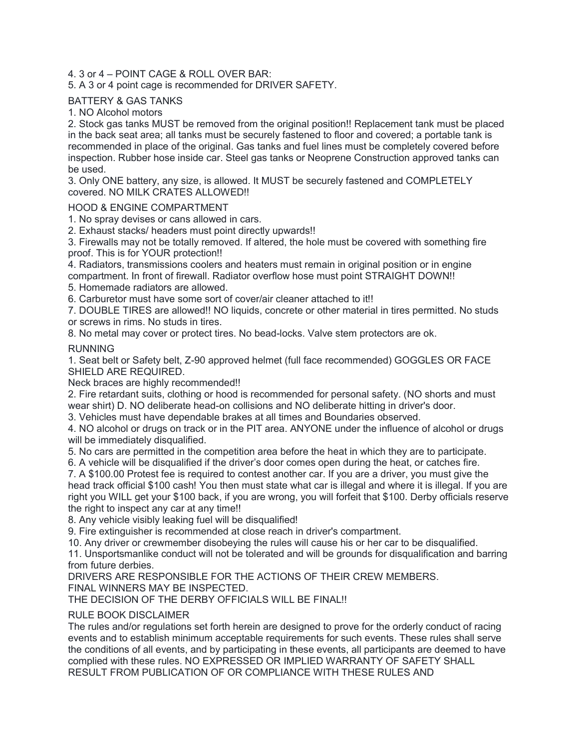## 4. 3 or 4 – POINT CAGE & ROLL OVER BAR:

## 5. A 3 or 4 point cage is recommended for DRIVER SAFETY.

# BATTERY & GAS TANKS

1. NO Alcohol motors

2. Stock gas tanks MUST be removed from the original position!! Replacement tank must be placed in the back seat area; all tanks must be securely fastened to floor and covered; a portable tank is recommended in place of the original. Gas tanks and fuel lines must be completely covered before inspection. Rubber hose inside car. Steel gas tanks or Neoprene Construction approved tanks can be used.

3. Only ONE battery, any size, is allowed. It MUST be securely fastened and COMPLETELY covered. NO MILK CRATES ALLOWED!!

### HOOD & ENGINE COMPARTMENT

1. No spray devises or cans allowed in cars.

2. Exhaust stacks/ headers must point directly upwards!!

3. Firewalls may not be totally removed. If altered, the hole must be covered with something fire proof. This is for YOUR protection!!

4. Radiators, transmissions coolers and heaters must remain in original position or in engine compartment. In front of firewall. Radiator overflow hose must point STRAIGHT DOWN!!

5. Homemade radiators are allowed.

6. Carburetor must have some sort of cover/air cleaner attached to it!!

7. DOUBLE TIRES are allowed!! NO liquids, concrete or other material in tires permitted. No studs or screws in rims. No studs in tires.

8. No metal may cover or protect tires. No bead-locks. Valve stem protectors are ok.

RUNNING

1. Seat belt or Safety belt, Z-90 approved helmet (full face recommended) GOGGLES OR FACE SHIELD ARE REQUIRED.

Neck braces are highly recommended!!

2. Fire retardant suits, clothing or hood is recommended for personal safety. (NO shorts and must wear shirt) D. NO deliberate head-on collisions and NO deliberate hitting in driver's door.

3. Vehicles must have dependable brakes at all times and Boundaries observed.

4. NO alcohol or drugs on track or in the PIT area. ANYONE under the influence of alcohol or drugs will be immediately disqualified.

5. No cars are permitted in the competition area before the heat in which they are to participate.

6. A vehicle will be disqualified if the driver's door comes open during the heat, or catches fire.

7. A \$100.00 Protest fee is required to contest another car. If you are a driver, you must give the head track official \$100 cash! You then must state what car is illegal and where it is illegal. If you are right you WILL get your \$100 back, if you are wrong, you will forfeit that \$100. Derby officials reserve the right to inspect any car at any time!!

8. Any vehicle visibly leaking fuel will be disqualified!

9. Fire extinguisher is recommended at close reach in driver's compartment.

10. Any driver or crewmember disobeying the rules will cause his or her car to be disqualified.

11. Unsportsmanlike conduct will not be tolerated and will be grounds for disqualification and barring from future derbies.

DRIVERS ARE RESPONSIBLE FOR THE ACTIONS OF THEIR CREW MEMBERS. FINAL WINNERS MAY BE INSPECTED.

THE DECISION OF THE DERBY OFFICIALS WILL BE FINAL!!

### RULE BOOK DISCLAIMER

The rules and/or regulations set forth herein are designed to prove for the orderly conduct of racing events and to establish minimum acceptable requirements for such events. These rules shall serve the conditions of all events, and by participating in these events, all participants are deemed to have complied with these rules. NO EXPRESSED OR IMPLIED WARRANTY OF SAFETY SHALL RESULT FROM PUBLICATION OF OR COMPLIANCE WITH THESE RULES AND